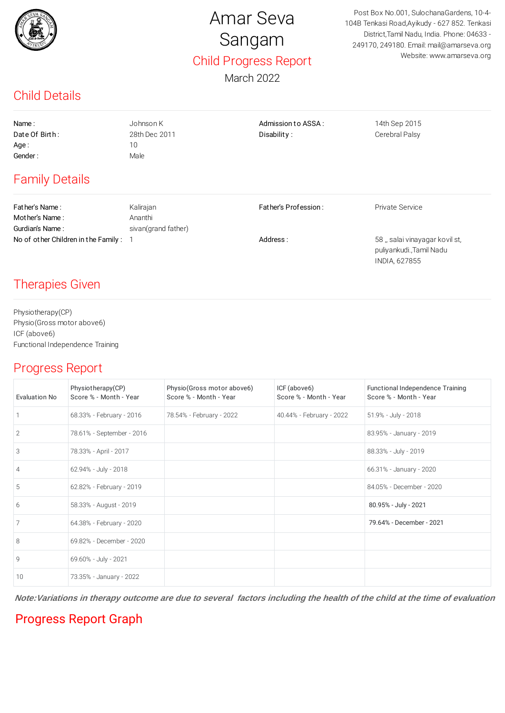

# Amar Seva Sangam Child Progress Report

March 2022

Post Box No.001, SulochanaGardens, 10-4- 104B Tenkasi Road,Ayikudy - 627 852. Tenkasi District,Tamil Nadu, India. Phone: 04633 - 249170, 249180. Email: mail@amarseva.org Website: www.amarseva.org

> puliyankudi.,Tamil Nadu INDIA, 627855

## Child Details

| Name:                                 | Johnson K           | Admission to ASSA:   | 14th Sep 2015                 |
|---------------------------------------|---------------------|----------------------|-------------------------------|
| Date Of Birth:                        | 28th Dec 2011       | Disability:          | Cerebral Palsy                |
| Age:                                  | 10                  |                      |                               |
| Gender:<br>Male                       |                     |                      |                               |
| <b>Family Details</b>                 |                     |                      |                               |
| Fat her's Name:                       | Kalirajan           | Father's Profession: | Private Service               |
| Mother's Name:                        | Ananthi             |                      |                               |
| Gurdian's Name:                       | sivan(grand father) |                      |                               |
| No of other Children in the Family: 1 |                     | Address:             | 58, salai vinayagar kovil st, |

#### Therapies Given

Physiotherapy(CP) Physio(Gross motor above6) ICF (above6) Functional Independence Training

#### Progress Report

| Evaluation No  | Physiotherapy(CP)<br>Score % - Month - Year | Physio(Gross motor above6)<br>Score % - Month - Year | ICF (above6)<br>Score % - Month - Year | Functional Independence Training<br>Score % - Month - Year |
|----------------|---------------------------------------------|------------------------------------------------------|----------------------------------------|------------------------------------------------------------|
|                | 68.33% - February - 2016                    | 78.54% - February - 2022                             | 40.44% - February - 2022               | 51.9% - July - 2018                                        |
| $\overline{2}$ | 78.61% - September - 2016                   |                                                      |                                        | 83.95% - January - 2019                                    |
| 3              | 78.33% - April - 2017                       |                                                      |                                        | 88.33% - July - 2019                                       |
| $\overline{4}$ | 62.94% - July - 2018                        |                                                      |                                        | 66.31% - January - 2020                                    |
| 5              | 62.82% - February - 2019                    |                                                      |                                        | 84.05% - December - 2020                                   |
| 6              | 58.33% - August - 2019                      |                                                      |                                        | 80.95% - July - 2021                                       |
| 7              | 64.38% - February - 2020                    |                                                      |                                        | 79.64% - December - 2021                                   |
| 8              | 69.82% - December - 2020                    |                                                      |                                        |                                                            |
| $\mathcal{Q}$  | 69.60% - July - 2021                        |                                                      |                                        |                                                            |
| 10             | 73.35% - January - 2022                     |                                                      |                                        |                                                            |

**Note:Variations in therapy outcome are due to several factors including the health of the child at the time of evaluation**

### Progress Report Graph